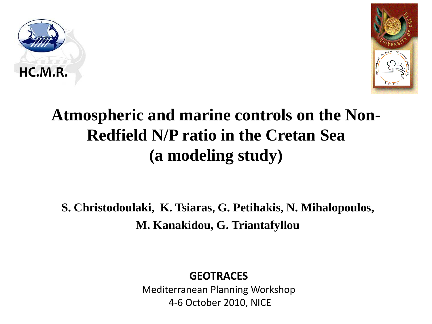



### **Atmospheric and marine controls on the Non-Redfield N/P ratio in the Cretan Sea (a modeling study)**

**S. Christodoulaki, K. Tsiaras**, **G. Petihakis, N. Mihalopoulos, M. Kanakidou, G. Triantafyllou**

#### **GEOTRACES**

Mediterranean Planning Workshop 4-6 October 2010, NICE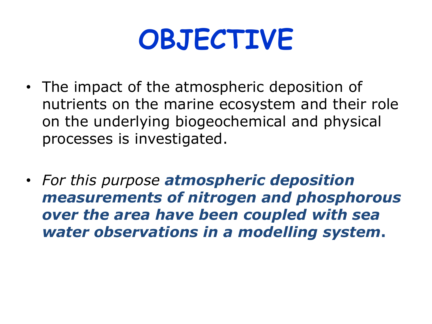# **OBJECTIVE**

- The impact of the atmospheric deposition of nutrients on the marine ecosystem and their role on the underlying biogeochemical and physical processes is investigated.
- *For this purpose atmospheric deposition measurements of nitrogen and phosphorous over the area have been coupled with sea water observations in a modelling system***.**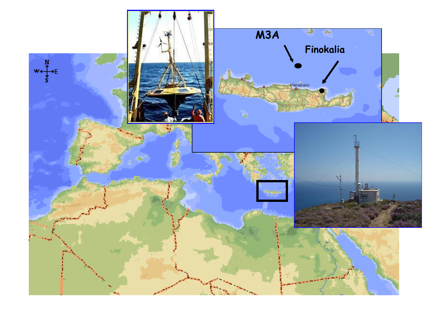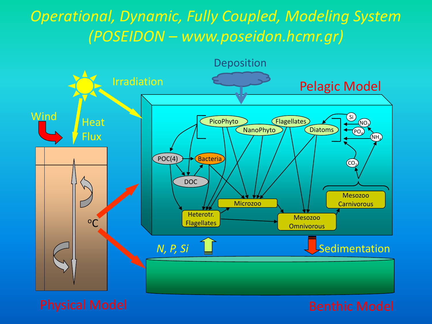#### *Operational, Dynamic, Fully Coupled, Modeling System (POSEIDON – www.poseidon.hcmr.gr)*

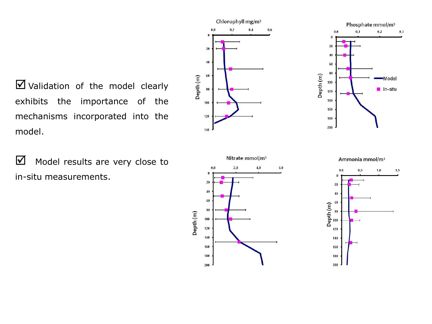Validation of the model clearly exhibits the importance of the mechanisms incorporated into the model.

 $\blacksquare$  Model results are very close to in-situ measurements.







Ammonia mmol/m<sup>3</sup>

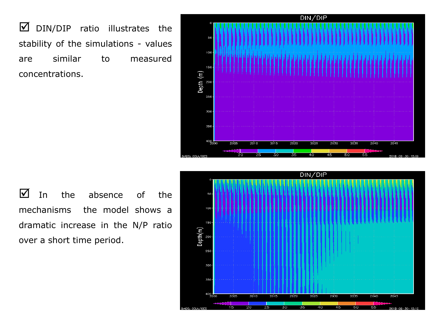$\boxtimes$  DIN/DIP ratio illustrates the stability of the simulations - values are similar to measured concentrations.



 $\blacksquare$  In the absence of the mechanisms the model shows a dramatic increase in the N/P ratio over a short time period.